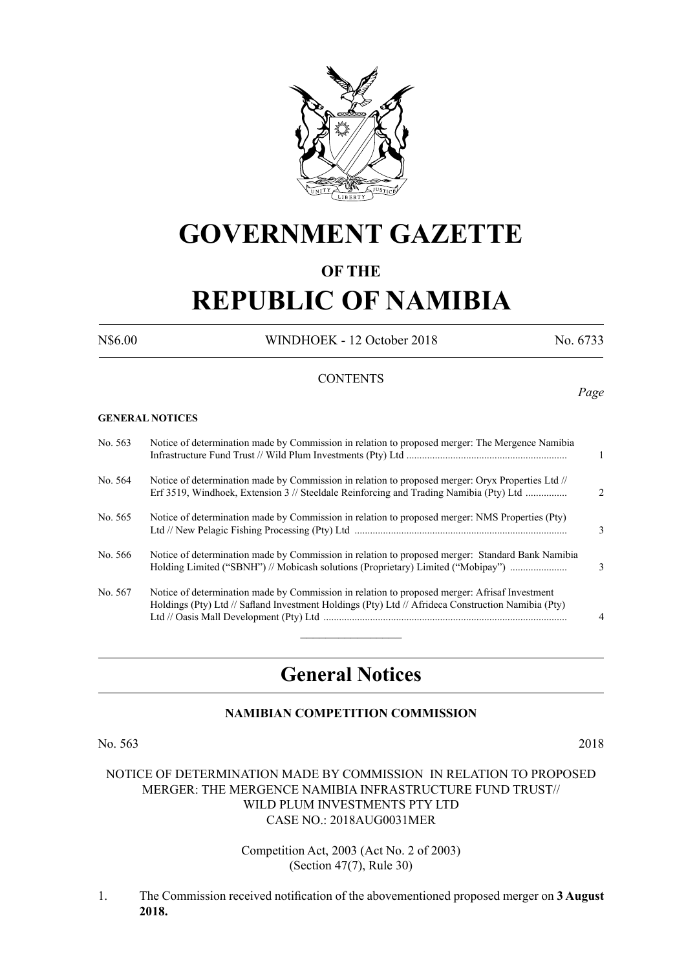

## **GOVERNMENT GAZETTE**

### **OF THE**

# **REPUBLIC OF NAMIBIA**

N\$6.00 WINDHOEK - 12 October 2018 No. 6733

#### **CONTENTS**

**GENERAL NOTICES**

| No. 563 | Notice of determination made by Commission in relation to proposed merger: The Mergence Namibia                                                                                                     | $\mathbf{1}$   |
|---------|-----------------------------------------------------------------------------------------------------------------------------------------------------------------------------------------------------|----------------|
| No. 564 | Notice of determination made by Commission in relation to proposed merger: Oryx Properties Ltd //<br>Erf 3519, Windhoek, Extension 3 // Steeldale Reinforcing and Trading Namibia (Pty) Ltd         | $\mathcal{D}$  |
| No. 565 | Notice of determination made by Commission in relation to proposed merger: NMS Properties (Pty)                                                                                                     | 3              |
| No. 566 | Notice of determination made by Commission in relation to proposed merger: Standard Bank Namibia<br>Holding Limited ("SBNH") // Mobicash solutions (Proprietary) Limited ("Mobipay")                | $\mathcal{E}$  |
| No. 567 | Notice of determination made by Commission in relation to proposed merger: Afrisaf Investment<br>Holdings (Pty) Ltd // Safland Investment Holdings (Pty) Ltd // Afrideca Construction Namibia (Pty) | $\overline{4}$ |

### **General Notices**

#### **NAMIBIAN COMPETITION COMMISSION**

No. 563 2018

#### NOTICE OF DETERMINATION MADE BY COMMISSION IN RELATION TO PROPOSED MERGER: THE MERGENCE NAMIBIA INFRASTRUCTURE FUND TRUST// WILD PLUM INVESTMENTS PTY LTD CASE NO.: 2018AUG0031MER

Competition Act, 2003 (Act No. 2 of 2003) (Section 47(7), Rule 30)

1. The Commission received notification of the abovementioned proposed merger on **3 August 2018.**

*Page*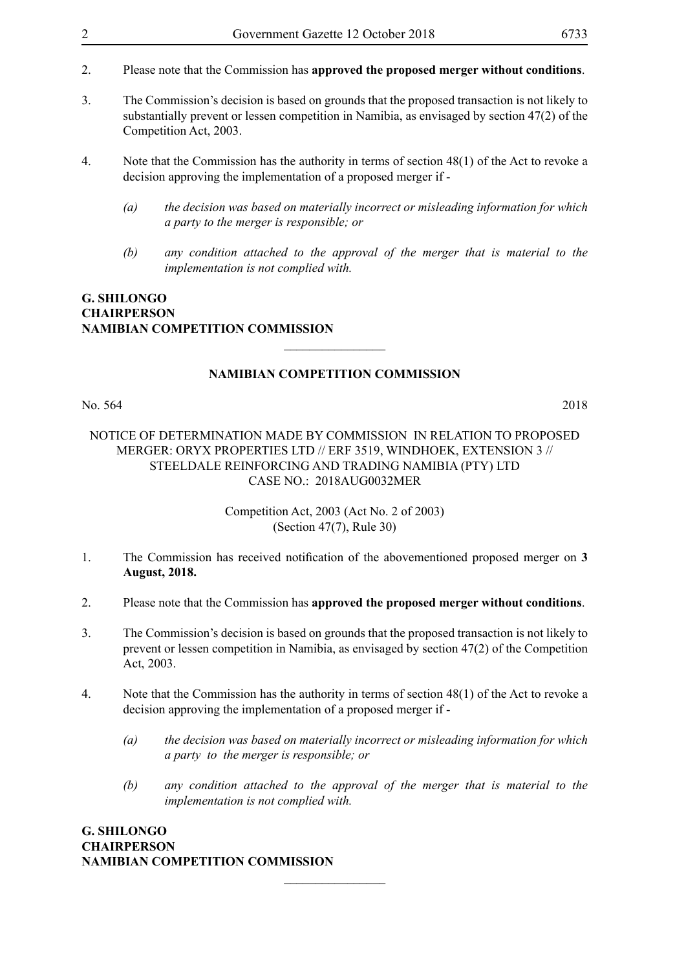- 2. Please note that the Commission has **approved the proposed merger without conditions**.
- 3. The Commission's decision is based on grounds that the proposed transaction is not likely to substantially prevent or lessen competition in Namibia, as envisaged by section 47(2) of the Competition Act, 2003.
- 4. Note that the Commission has the authority in terms of section 48(1) of the Act to revoke a decision approving the implementation of a proposed merger if -
	- *(a) the decision was based on materially incorrect or misleading information for which a party to the merger is responsible; or*
	- *(b) any condition attached to the approval of the merger that is material to the implementation is not complied with.*

#### **G. Shilongo Chairperson Namibian Competition Commission**

#### **NAMIBIAN COMPETITION COMMISSION**

 $\overline{\phantom{a}}$  , where  $\overline{\phantom{a}}$ 

No. 564 2018

#### NOTICE OF DETERMINATION MADE BY COMMISSION IN RELATION TO PROPOSED MERGER: ORYX PROPERTIES LTD // ERF 3519, WINDHOEK, EXTENSION 3 // STEELDALE REINFORCING AND TRADING NAMIBIA (PTY) LTD CASE NO.: 2018AUG0032MER

#### Competition Act, 2003 (Act No. 2 of 2003) (Section 47(7), Rule 30)

- 1. The Commission has received notification of the abovementioned proposed merger on **3 August, 2018.**
- 2. Please note that the Commission has **approved the proposed merger without conditions**.
- 3. The Commission's decision is based on grounds that the proposed transaction is not likely to prevent or lessen competition in Namibia, as envisaged by section 47(2) of the Competition Act, 2003.
- 4. Note that the Commission has the authority in terms of section 48(1) of the Act to revoke a decision approving the implementation of a proposed merger if -

 $\frac{1}{2}$ 

- *(a) the decision was based on materially incorrect or misleading information for which a party to the merger is responsible; or*
- *(b) any condition attached to the approval of the merger that is material to the implementation is not complied with.*

#### **G. Shilongo Chairperson Namibian Competition Commission**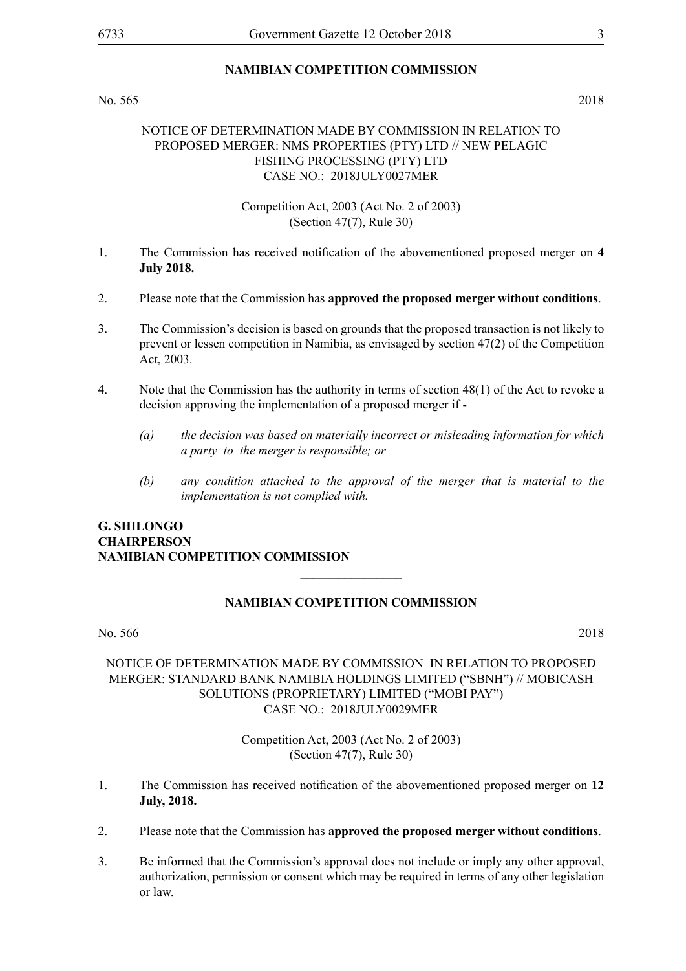#### **NAMIBIAN COMPETITION COMMISSION**

No. 565 2018

#### NOTICE OF DETERMINATION MADE BY COMMISSION IN RELATION TO PROPOSED MERGER: NMS PROPERTIES (PTY) LTD // NEW PELAGIC FISHING PROCESSING (PTY) LTD CASE NO.: 2018JULY0027MER

Competition Act, 2003 (Act No. 2 of 2003) (Section 47(7), Rule 30)

- 1. The Commission has received notification of the abovementioned proposed merger on **4 July 2018.**
- 2. Please note that the Commission has **approved the proposed merger without conditions**.
- 3. The Commission's decision is based on grounds that the proposed transaction is not likely to prevent or lessen competition in Namibia, as envisaged by section 47(2) of the Competition Act, 2003.
- 4. Note that the Commission has the authority in terms of section 48(1) of the Act to revoke a decision approving the implementation of a proposed merger if -
	- *(a) the decision was based on materially incorrect or misleading information for which a party to the merger is responsible; or*
	- *(b) any condition attached to the approval of the merger that is material to the implementation is not complied with.*

#### **G. Shilongo Chairperson Namibian Competition Commission**

#### **NAMIBIAN COMPETITION COMMISSION**

 $\overline{\phantom{a}}$  , where  $\overline{\phantom{a}}$ 

No. 566 2018

#### NOTICE OF DETERMINATION MADE BY COMMISSION IN RELATION TO PROPOSED MERGER: STANDARD BANK NAMIBIA HOLDINGS LIMITED ("SBNH") // MOBICASH SOLUTIONS (PROPRIETARY) LIMITED ("MOBI PAY") CASE NO.: 2018JULY0029MER

Competition Act, 2003 (Act No. 2 of 2003) (Section 47(7), Rule 30)

- 1. The Commission has received notification of the abovementioned proposed merger on **12 July, 2018.**
- 2. Please note that the Commission has **approved the proposed merger without conditions**.
- 3. Be informed that the Commission's approval does not include or imply any other approval, authorization, permission or consent which may be required in terms of any other legislation or law.